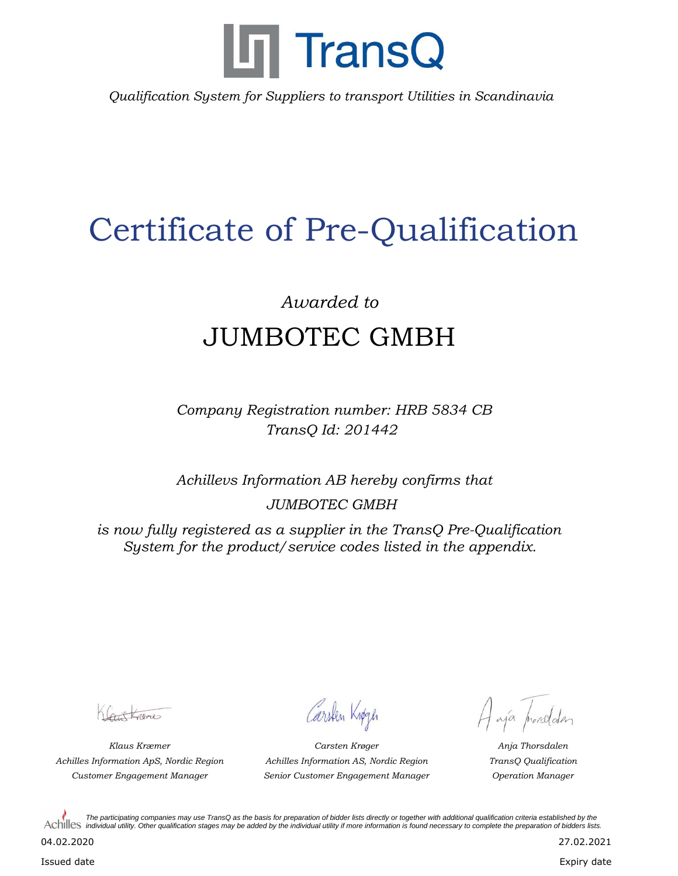

*Qualification System for Suppliers to transport Utilities in Scandinavia*

## Certificate of Pre-Qualification

## *Awarded to* JUMBOTEC GMBH

*Company Registration number: HRB 5834 CB TransQ Id: 201442*

*Achillevs Information AB hereby confirms that JUMBOTEC GMBH*

*is now fully registered as a supplier in the TransQ Pre-Qualification System for the product/service codes listed in the appendix.*

Cont Lame

Carsten Knøgen

*Klaus Kræmer Anja Thorsdalen Customer Engagement Manager Operation Manager Senior Customer Engagement Manager Achilles Information ApS, Nordic Region TransQ Qualification Carsten Krøger Achilles Information AS, Nordic Region*

Haja prosolden

*The participating companies may use TransQ as the basis for preparation of bidder lists directly or together with additional qualification criteria established by the*  Achilles individual utility. Other qualification stages may be added by the individual utility if more information is found necessary to complete the preparation of bidders lists.

04.02.2020

Issued date

Expiry date